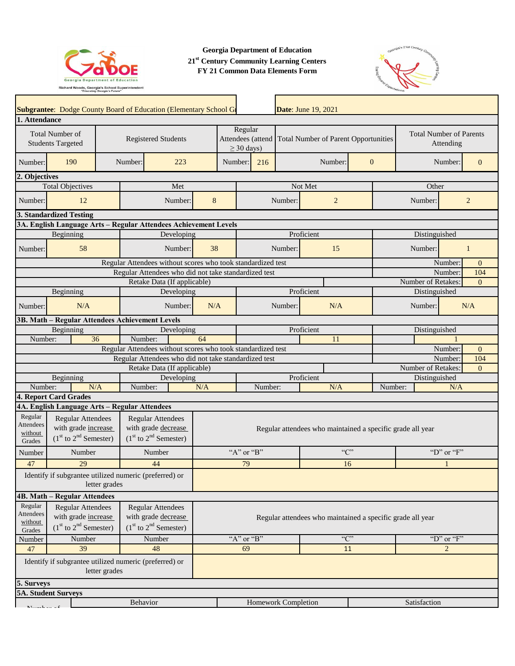

**Georgia Department of Education 21st Century Community Learning Centers FY 21 Common Data Elements Form**



| Subgrantee: Dodge County Board of Education (Elementary School G                                                                 |                                                                                                                                                              |                                                                              |            |                                                            |                                                            |                                                      |         | <b>Date: June 19, 2021</b> |                                |                                             |                    |              |                |                |
|----------------------------------------------------------------------------------------------------------------------------------|--------------------------------------------------------------------------------------------------------------------------------------------------------------|------------------------------------------------------------------------------|------------|------------------------------------------------------------|------------------------------------------------------------|------------------------------------------------------|---------|----------------------------|--------------------------------|---------------------------------------------|--------------------|--------------|----------------|----------------|
| 1. Attendance                                                                                                                    |                                                                                                                                                              |                                                                              |            |                                                            |                                                            |                                                      |         |                            |                                |                                             |                    |              |                |                |
| <b>Total Number of</b><br><b>Registered Students</b><br><b>Students Targeted</b>                                                 |                                                                                                                                                              |                                                                              |            | Regular<br>Attendees (attend<br>$\geq$ 30 days)            |                                                            | <b>Total Number of Parent Opportunities</b>          |         |                            |                                | <b>Total Number of Parents</b><br>Attending |                    |              |                |                |
| 190<br>Number:                                                                                                                   | Number:                                                                                                                                                      |                                                                              | 223        |                                                            | Number:                                                    | 216                                                  |         | Number:                    | $\mathbf{0}$                   |                                             | Number:            |              |                | $\overline{0}$ |
| 2. Objectives                                                                                                                    |                                                                                                                                                              |                                                                              |            |                                                            |                                                            |                                                      |         |                            |                                |                                             |                    |              |                |                |
| <b>Total Objectives</b>                                                                                                          |                                                                                                                                                              |                                                                              | Met        |                                                            |                                                            |                                                      |         | Not Met                    |                                | Other                                       |                    |              |                |                |
| 12<br>Number:                                                                                                                    |                                                                                                                                                              |                                                                              | Number:    | 8                                                          |                                                            |                                                      | Number: | $\overline{2}$             |                                |                                             | Number:            |              | $\overline{2}$ |                |
| <b>3. Standardized Testing</b>                                                                                                   |                                                                                                                                                              |                                                                              |            |                                                            |                                                            |                                                      |         |                            |                                |                                             |                    |              |                |                |
| 3A. English Language Arts - Regular Attendees Achievement Levels                                                                 |                                                                                                                                                              |                                                                              |            |                                                            |                                                            |                                                      |         |                            |                                |                                             |                    |              |                |                |
| Beginning                                                                                                                        |                                                                                                                                                              |                                                                              | Developing |                                                            |                                                            |                                                      |         | Proficient                 |                                | Distinguished                               |                    |              |                |                |
| 58<br>Number:                                                                                                                    |                                                                                                                                                              |                                                                              | Number:    | 38                                                         |                                                            |                                                      | Number: | 15                         |                                | Number:                                     |                    |              | 1              |                |
|                                                                                                                                  | Regular Attendees without scores who took standardized test                                                                                                  |                                                                              |            |                                                            |                                                            |                                                      |         |                            |                                |                                             |                    |              | Number:        | $\Omega$       |
|                                                                                                                                  |                                                                                                                                                              |                                                                              |            |                                                            |                                                            | Regular Attendees who did not take standardized test |         |                            |                                | Number:                                     |                    |              | 104            |                |
|                                                                                                                                  |                                                                                                                                                              | Retake Data (If applicable)                                                  |            |                                                            |                                                            |                                                      |         |                            |                                |                                             | Number of Retakes: |              |                | $\Omega$       |
| Beginning                                                                                                                        |                                                                                                                                                              |                                                                              | Developing |                                                            |                                                            |                                                      |         | Proficient                 |                                |                                             | Distinguished      |              |                |                |
| N/A<br>Number:                                                                                                                   |                                                                                                                                                              |                                                                              | Number:    | N/A                                                        |                                                            |                                                      | Number: | N/A                        |                                |                                             | Number:            |              |                | N/A            |
| 3B. Math - Regular Attendees Achievement Levels                                                                                  |                                                                                                                                                              |                                                                              |            |                                                            |                                                            |                                                      |         |                            |                                |                                             |                    |              |                |                |
| Beginning                                                                                                                        |                                                                                                                                                              | Developing                                                                   |            |                                                            |                                                            | Proficient                                           |         |                            |                                | Distinguished                               |                    |              |                |                |
| 36<br>Number:<br>Number:                                                                                                         |                                                                                                                                                              |                                                                              | 64         | 11                                                         |                                                            |                                                      |         |                            |                                |                                             |                    |              |                |                |
| Regular Attendees without scores who took standardized test                                                                      |                                                                                                                                                              |                                                                              |            |                                                            |                                                            |                                                      |         |                            |                                | Number:                                     |                    |              |                | $\overline{0}$ |
|                                                                                                                                  |                                                                                                                                                              |                                                                              |            |                                                            | Regular Attendees who did not take standardized test       |                                                      |         |                            | Number:<br>104                 |                                             |                    |              |                |                |
|                                                                                                                                  |                                                                                                                                                              | Retake Data (If applicable)                                                  |            |                                                            | Proficient                                                 |                                                      |         |                            | Number of Retakes:<br>$\Omega$ |                                             |                    |              |                |                |
| N/A                                                                                                                              | Beginning<br>Developing<br>Number:                                                                                                                           |                                                                              |            |                                                            |                                                            | Number:                                              |         | N/A                        |                                | Distinguished<br>Number:                    |                    | N/A          |                |                |
| Number:<br>4. Report Card Grades                                                                                                 |                                                                                                                                                              |                                                                              | N/A        |                                                            |                                                            |                                                      |         |                            |                                |                                             |                    |              |                |                |
| 4A. English Language Arts - Regular Attendees                                                                                    |                                                                                                                                                              |                                                                              |            |                                                            |                                                            |                                                      |         |                            |                                |                                             |                    |              |                |                |
| Regular<br><b>Attendees</b><br>without<br>Grades                                                                                 | <b>Regular Attendees</b><br><b>Regular Attendees</b><br>with grade increase<br>with grade decrease<br>$(1st$ to $2nd$ Semester)<br>$(1st$ to $2nd$ Semester) |                                                                              |            |                                                            | Regular attendees who maintained a specific grade all year |                                                      |         |                            |                                |                                             |                    |              |                |                |
| Number<br>Number                                                                                                                 |                                                                                                                                                              | Number                                                                       |            |                                                            | "A" or "B"                                                 |                                                      |         | C                          |                                |                                             | "D" or " $F$ "     |              |                |                |
| 29<br>47                                                                                                                         |                                                                                                                                                              | 44                                                                           |            | 79                                                         |                                                            |                                                      |         | 16                         |                                |                                             |                    |              |                |                |
| Identify if subgrantee utilized numeric (preferred) or<br>letter grades                                                          |                                                                                                                                                              |                                                                              |            |                                                            |                                                            |                                                      |         |                            |                                |                                             |                    |              |                |                |
| 4B. Math - Regular Attendees                                                                                                     |                                                                                                                                                              |                                                                              |            |                                                            |                                                            |                                                      |         |                            |                                |                                             |                    |              |                |                |
| Regular<br><b>Regular Attendees</b><br><b>Attendees</b><br>with grade increase<br>without<br>$(1st$ to $2nd$ Semester)<br>Grades |                                                                                                                                                              | <b>Regular Attendees</b><br>with grade decrease<br>$(1st$ to $2nd$ Semester) |            | Regular attendees who maintained a specific grade all year |                                                            |                                                      |         |                            |                                |                                             |                    |              |                |                |
| Number<br>Number                                                                                                                 |                                                                                                                                                              | Number                                                                       |            |                                                            | "A" or "B"                                                 |                                                      |         | C                          |                                |                                             | "D" or "F"         |              |                |                |
| 39<br>47                                                                                                                         |                                                                                                                                                              | 48                                                                           |            |                                                            |                                                            | 69                                                   | 11      |                            |                                | $\overline{2}$                              |                    |              |                |                |
| Identify if subgrantee utilized numeric (preferred) or<br>letter grades                                                          |                                                                                                                                                              |                                                                              |            |                                                            |                                                            |                                                      |         |                            |                                |                                             |                    |              |                |                |
| 5. Surveys                                                                                                                       |                                                                                                                                                              |                                                                              |            |                                                            |                                                            |                                                      |         |                            |                                |                                             |                    |              |                |                |
| <b>5A. Student Surveys</b>                                                                                                       |                                                                                                                                                              |                                                                              |            |                                                            |                                                            |                                                      |         |                            |                                |                                             |                    |              |                |                |
| Behavior                                                                                                                         |                                                                                                                                                              |                                                                              |            |                                                            |                                                            | Homework Completion                                  |         |                            |                                |                                             |                    | Satisfaction |                |                |